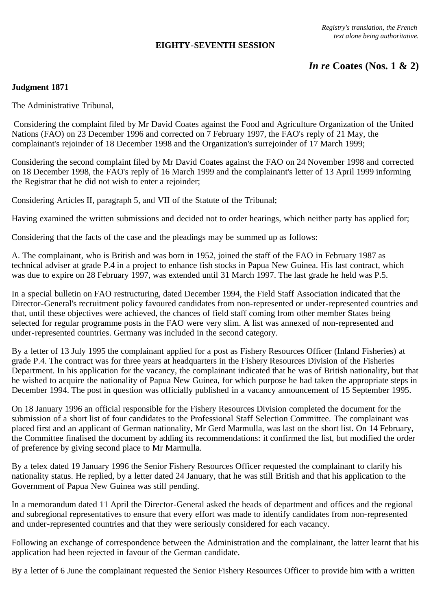### **EIGHTY-SEVENTH SESSION**

# *In re* **Coates (Nos. 1 & 2)**

# **Judgment 1871**

The Administrative Tribunal,

 Considering the complaint filed by Mr David Coates against the Food and Agriculture Organization of the United Nations (FAO) on 23 December 1996 and corrected on 7 February 1997, the FAO's reply of 21 May, the complainant's rejoinder of 18 December 1998 and the Organization's surrejoinder of 17 March 1999;

Considering the second complaint filed by Mr David Coates against the FAO on 24 November 1998 and corrected on 18 December 1998, the FAO's reply of 16 March 1999 and the complainant's letter of 13 April 1999 informing the Registrar that he did not wish to enter a rejoinder;

Considering Articles II, paragraph 5, and VII of the Statute of the Tribunal;

Having examined the written submissions and decided not to order hearings, which neither party has applied for;

Considering that the facts of the case and the pleadings may be summed up as follows:

A. The complainant, who is British and was born in 1952, joined the staff of the FAO in February 1987 as technical adviser at grade P.4 in a project to enhance fish stocks in Papua New Guinea. His last contract, which was due to expire on 28 February 1997, was extended until 31 March 1997. The last grade he held was P.5.

In a special bulletin on FAO restructuring, dated December 1994, the Field Staff Association indicated that the Director-General's recruitment policy favoured candidates from non-represented or under-represented countries and that, until these objectives were achieved, the chances of field staff coming from other member States being selected for regular programme posts in the FAO were very slim. A list was annexed of non-represented and under-represented countries. Germany was included in the second category.

By a letter of 13 July 1995 the complainant applied for a post as Fishery Resources Officer (Inland Fisheries) at grade P.4. The contract was for three years at headquarters in the Fishery Resources Division of the Fisheries Department. In his application for the vacancy, the complainant indicated that he was of British nationality, but that he wished to acquire the nationality of Papua New Guinea, for which purpose he had taken the appropriate steps in December 1994. The post in question was officially published in a vacancy announcement of 15 September 1995.

On 18 January 1996 an official responsible for the Fishery Resources Division completed the document for the submission of a short list of four candidates to the Professional Staff Selection Committee. The complainant was placed first and an applicant of German nationality, Mr Gerd Marmulla, was last on the short list. On 14 February, the Committee finalised the document by adding its recommendations: it confirmed the list, but modified the order of preference by giving second place to Mr Marmulla.

By a telex dated 19 January 1996 the Senior Fishery Resources Officer requested the complainant to clarify his nationality status. He replied, by a letter dated 24 January, that he was still British and that his application to the Government of Papua New Guinea was still pending.

In a memorandum dated 11 April the Director-General asked the heads of department and offices and the regional and subregional representatives to ensure that every effort was made to identify candidates from non-represented and under-represented countries and that they were seriously considered for each vacancy.

Following an exchange of correspondence between the Administration and the complainant, the latter learnt that his application had been rejected in favour of the German candidate.

By a letter of 6 June the complainant requested the Senior Fishery Resources Officer to provide him with a written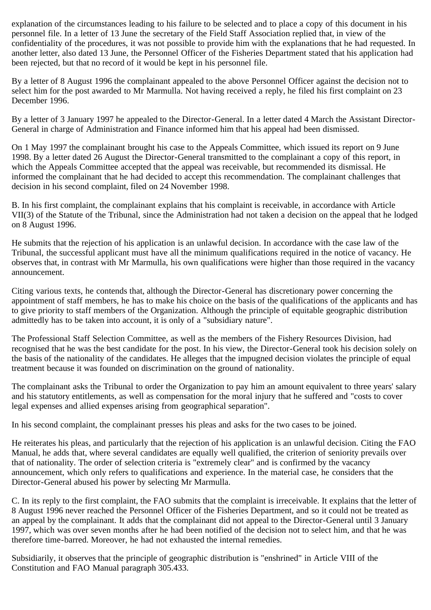explanation of the circumstances leading to his failure to be selected and to place a copy of this document in his personnel file. In a letter of 13 June the secretary of the Field Staff Association replied that, in view of the confidentiality of the procedures, it was not possible to provide him with the explanations that he had requested. In another letter, also dated 13 June, the Personnel Officer of the Fisheries Department stated that his application had been rejected, but that no record of it would be kept in his personnel file.

By a letter of 8 August 1996 the complainant appealed to the above Personnel Officer against the decision not to select him for the post awarded to Mr Marmulla. Not having received a reply, he filed his first complaint on 23 December 1996.

By a letter of 3 January 1997 he appealed to the Director-General. In a letter dated 4 March the Assistant Director-General in charge of Administration and Finance informed him that his appeal had been dismissed.

On 1 May 1997 the complainant brought his case to the Appeals Committee, which issued its report on 9 June 1998. By a letter dated 26 August the Director-General transmitted to the complainant a copy of this report, in which the Appeals Committee accepted that the appeal was receivable, but recommended its dismissal. He informed the complainant that he had decided to accept this recommendation. The complainant challenges that decision in his second complaint, filed on 24 November 1998.

B. In his first complaint, the complainant explains that his complaint is receivable, in accordance with Article VII(3) of the Statute of the Tribunal, since the Administration had not taken a decision on the appeal that he lodged on 8 August 1996.

He submits that the rejection of his application is an unlawful decision. In accordance with the case law of the Tribunal, the successful applicant must have all the minimum qualifications required in the notice of vacancy. He observes that, in contrast with Mr Marmulla, his own qualifications were higher than those required in the vacancy announcement.

Citing various texts, he contends that, although the Director-General has discretionary power concerning the appointment of staff members, he has to make his choice on the basis of the qualifications of the applicants and has to give priority to staff members of the Organization. Although the principle of equitable geographic distribution admittedly has to be taken into account, it is only of a "subsidiary nature".

The Professional Staff Selection Committee, as well as the members of the Fishery Resources Division, had recognised that he was the best candidate for the post. In his view, the Director-General took his decision solely on the basis of the nationality of the candidates. He alleges that the impugned decision violates the principle of equal treatment because it was founded on discrimination on the ground of nationality.

The complainant asks the Tribunal to order the Organization to pay him an amount equivalent to three years' salary and his statutory entitlements, as well as compensation for the moral injury that he suffered and "costs to cover legal expenses and allied expenses arising from geographical separation".

In his second complaint, the complainant presses his pleas and asks for the two cases to be joined.

He reiterates his pleas, and particularly that the rejection of his application is an unlawful decision. Citing the FAO Manual, he adds that, where several candidates are equally well qualified, the criterion of seniority prevails over that of nationality. The order of selection criteria is "extremely clear" and is confirmed by the vacancy announcement, which only refers to qualifications and experience. In the material case, he considers that the Director-General abused his power by selecting Mr Marmulla.

C. In its reply to the first complaint, the FAO submits that the complaint is irreceivable. It explains that the letter of 8 August 1996 never reached the Personnel Officer of the Fisheries Department, and so it could not be treated as an appeal by the complainant. It adds that the complainant did not appeal to the Director-General until 3 January 1997, which was over seven months after he had been notified of the decision not to select him, and that he was therefore time-barred. Moreover, he had not exhausted the internal remedies.

Subsidiarily, it observes that the principle of geographic distribution is "enshrined" in Article VIII of the Constitution and FAO Manual paragraph 305.433.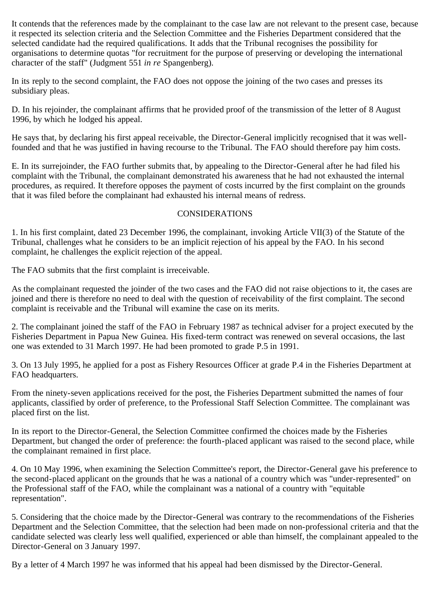It contends that the references made by the complainant to the case law are not relevant to the present case, because it respected its selection criteria and the Selection Committee and the Fisheries Department considered that the selected candidate had the required qualifications. It adds that the Tribunal recognises the possibility for organisations to determine quotas "for recruitment for the purpose of preserving or developing the international character of the staff" (Judgment 551 *in re* Spangenberg).

In its reply to the second complaint, the FAO does not oppose the joining of the two cases and presses its subsidiary pleas.

D. In his rejoinder, the complainant affirms that he provided proof of the transmission of the letter of 8 August 1996, by which he lodged his appeal.

He says that, by declaring his first appeal receivable, the Director-General implicitly recognised that it was wellfounded and that he was justified in having recourse to the Tribunal. The FAO should therefore pay him costs.

E. In its surrejoinder, the FAO further submits that, by appealing to the Director-General after he had filed his complaint with the Tribunal, the complainant demonstrated his awareness that he had not exhausted the internal procedures, as required. It therefore opposes the payment of costs incurred by the first complaint on the grounds that it was filed before the complainant had exhausted his internal means of redress.

### CONSIDERATIONS

1. In his first complaint, dated 23 December 1996, the complainant, invoking Article VII(3) of the Statute of the Tribunal, challenges what he considers to be an implicit rejection of his appeal by the FAO. In his second complaint, he challenges the explicit rejection of the appeal.

The FAO submits that the first complaint is irreceivable.

As the complainant requested the joinder of the two cases and the FAO did not raise objections to it, the cases are joined and there is therefore no need to deal with the question of receivability of the first complaint. The second complaint is receivable and the Tribunal will examine the case on its merits.

2. The complainant joined the staff of the FAO in February 1987 as technical adviser for a project executed by the Fisheries Department in Papua New Guinea. His fixed-term contract was renewed on several occasions, the last one was extended to 31 March 1997. He had been promoted to grade P.5 in 1991.

3. On 13 July 1995, he applied for a post as Fishery Resources Officer at grade P.4 in the Fisheries Department at FAO headquarters.

From the ninety-seven applications received for the post, the Fisheries Department submitted the names of four applicants, classified by order of preference, to the Professional Staff Selection Committee. The complainant was placed first on the list.

In its report to the Director-General, the Selection Committee confirmed the choices made by the Fisheries Department, but changed the order of preference: the fourth-placed applicant was raised to the second place, while the complainant remained in first place.

4. On 10 May 1996, when examining the Selection Committee's report, the Director-General gave his preference to the second-placed applicant on the grounds that he was a national of a country which was "under-represented" on the Professional staff of the FAO, while the complainant was a national of a country with "equitable representation".

5. Considering that the choice made by the Director-General was contrary to the recommendations of the Fisheries Department and the Selection Committee, that the selection had been made on non-professional criteria and that the candidate selected was clearly less well qualified, experienced or able than himself, the complainant appealed to the Director-General on 3 January 1997.

By a letter of 4 March 1997 he was informed that his appeal had been dismissed by the Director-General.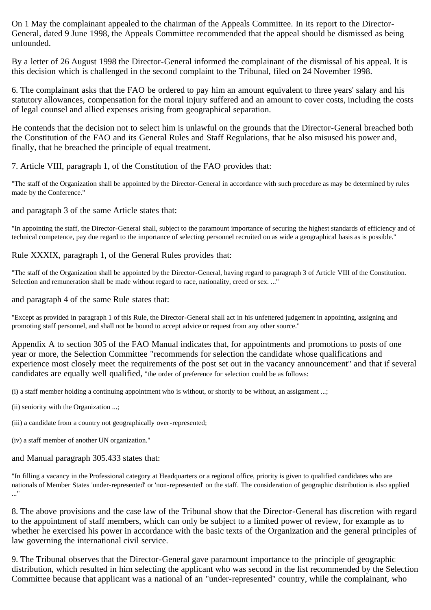On 1 May the complainant appealed to the chairman of the Appeals Committee. In its report to the Director-General, dated 9 June 1998, the Appeals Committee recommended that the appeal should be dismissed as being unfounded.

By a letter of 26 August 1998 the Director-General informed the complainant of the dismissal of his appeal. It is this decision which is challenged in the second complaint to the Tribunal, filed on 24 November 1998.

6. The complainant asks that the FAO be ordered to pay him an amount equivalent to three years' salary and his statutory allowances, compensation for the moral injury suffered and an amount to cover costs, including the costs of legal counsel and allied expenses arising from geographical separation.

He contends that the decision not to select him is unlawful on the grounds that the Director-General breached both the Constitution of the FAO and its General Rules and Staff Regulations, that he also misused his power and, finally, that he breached the principle of equal treatment.

### 7. Article VIII, paragraph 1, of the Constitution of the FAO provides that:

"The staff of the Organization shall be appointed by the Director-General in accordance with such procedure as may be determined by rules made by the Conference."

#### and paragraph 3 of the same Article states that:

"In appointing the staff, the Director-General shall, subject to the paramount importance of securing the highest standards of efficiency and of technical competence, pay due regard to the importance of selecting personnel recruited on as wide a geographical basis as is possible."

#### Rule XXXIX, paragraph 1, of the General Rules provides that:

"The staff of the Organization shall be appointed by the Director-General, having regard to paragraph 3 of Article VIII of the Constitution. Selection and remuneration shall be made without regard to race, nationality, creed or sex. ..."

#### and paragraph 4 of the same Rule states that:

"Except as provided in paragraph 1 of this Rule, the Director-General shall act in his unfettered judgement in appointing, assigning and promoting staff personnel, and shall not be bound to accept advice or request from any other source."

Appendix A to section 305 of the FAO Manual indicates that, for appointments and promotions to posts of one year or more, the Selection Committee "recommends for selection the candidate whose qualifications and experience most closely meet the requirements of the post set out in the vacancy announcement" and that if several candidates are equally well qualified, "the order of preference for selection could be as follows:

(i) a staff member holding a continuing appointment who is without, or shortly to be without, an assignment ...;

- (ii) seniority with the Organization ...;
- (iii) a candidate from a country not geographically over-represented;
- (iv) a staff member of another UN organization."

and Manual paragraph 305.433 states that:

"In filling a vacancy in the Professional category at Headquarters or a regional office, priority is given to qualified candidates who are nationals of Member States 'under-represented' or 'non-represented' on the staff. The consideration of geographic distribution is also applied ..."

8. The above provisions and the case law of the Tribunal show that the Director-General has discretion with regard to the appointment of staff members, which can only be subject to a limited power of review, for example as to whether he exercised his power in accordance with the basic texts of the Organization and the general principles of law governing the international civil service.

9. The Tribunal observes that the Director-General gave paramount importance to the principle of geographic distribution, which resulted in him selecting the applicant who was second in the list recommended by the Selection Committee because that applicant was a national of an "under-represented" country, while the complainant, who